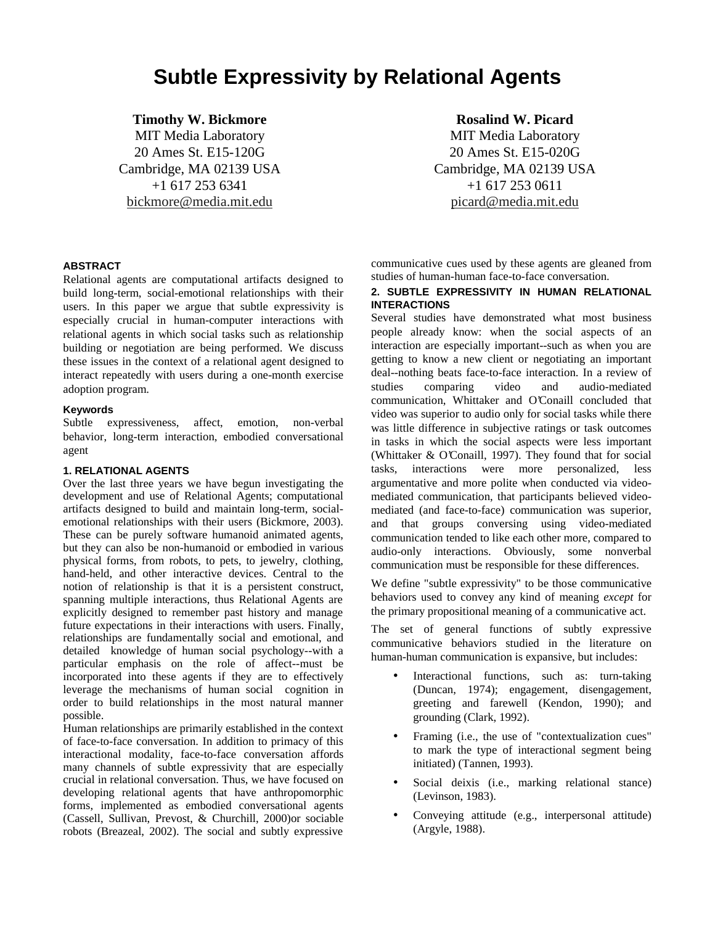# **Subtle Expressivity by Relational Agents**

## **Timothy W. Bickmore**

MIT Media Laboratory 20 Ames St. E15-120G Cambridge, MA 02139 USA +1 617 253 6341 bickmore@media.mit.edu

## **Rosalind W. Picard**

MIT Media Laboratory 20 Ames St. E15-020G Cambridge, MA 02139 USA +1 617 253 0611 picard@media.mit.edu

### **ABSTRACT**

Relational agents are computational artifacts designed to build long-term, social-emotional relationships with their users. In this paper we argue that subtle expressivity is especially crucial in human-computer interactions with relational agents in which social tasks such as relationship building or negotiation are being performed. We discuss these issues in the context of a relational agent designed to interact repeatedly with users during a one-month exercise adoption program.

#### **Keywords**

Subtle expressiveness, affect, emotion, non-verbal behavior, long-term interaction, embodied conversational agent

### **1. RELATIONAL AGENTS**

Over the last three years we have begun investigating the development and use of Relational Agents; computational artifacts designed to build and maintain long-term, socialemotional relationships with their users (Bickmore, 2003). These can be purely software humanoid animated agents, but they can also be non-humanoid or embodied in various physical forms, from robots, to pets, to jewelry, clothing, hand-held, and other interactive devices. Central to the notion of relationship is that it is a persistent construct, spanning multiple interactions, thus Relational Agents are explicitly designed to remember past history and manage future expectations in their interactions with users. Finally, relationships are fundamentally social and emotional, and detailed knowledge of human social psychology--with a particular emphasis on the role of affect--must be incorporated into these agents if they are to effectively leverage the mechanisms of human social cognition in order to build relationships in the most natural manner possible.

Human relationships are primarily established in the context of face-to-face conversation. In addition to primacy of this interactional modality, face-to-face conversation affords many channels of subtle expressivity that are especially crucial in relational conversation. Thus, we have focused on developing relational agents that have anthropomorphic forms, implemented as embodied conversational agents (Cassell, Sullivan, Prevost, & Churchill, 2000)or sociable robots (Breazeal, 2002). The social and subtly expressive

communicative cues used by these agents are gleaned from studies of human-human face-to-face conversation.

## **2. SUBTLE EXPRESSIVITY IN HUMAN RELATIONAL INTERACTIONS**

Several studies have demonstrated what most business people already know: when the social aspects of an interaction are especially important--such as when you are getting to know a new client or negotiating an important deal--nothing beats face-to-face interaction. In a review of studies comparing video and audio-mediated communication, Whittaker and O'Conaill concluded that video was superior to audio only for social tasks while there was little difference in subjective ratings or task outcomes in tasks in which the social aspects were less important (Whittaker & O'Conaill, 1997). They found that for social tasks, interactions were more personalized, less argumentative and more polite when conducted via videomediated communication, that participants believed videomediated (and face-to-face) communication was superior, and that groups conversing using video-mediated communication tended to like each other more, compared to audio-only interactions. Obviously, some nonverbal communication must be responsible for these differences.

We define "subtle expressivity" to be those communicative behaviors used to convey any kind of meaning *except* for the primary propositional meaning of a communicative act.

The set of general functions of subtly expressive communicative behaviors studied in the literature on human-human communication is expansive, but includes:

- Interactional functions, such as: turn-taking (Duncan, 1974); engagement, disengagement, greeting and farewell (Kendon, 1990); and grounding (Clark, 1992).
- Framing (i.e., the use of "contextualization cues" to mark the type of interactional segment being initiated) (Tannen, 1993).
- Social deixis (i.e., marking relational stance) (Levinson, 1983).
- Conveying attitude (e.g., interpersonal attitude) (Argyle, 1988).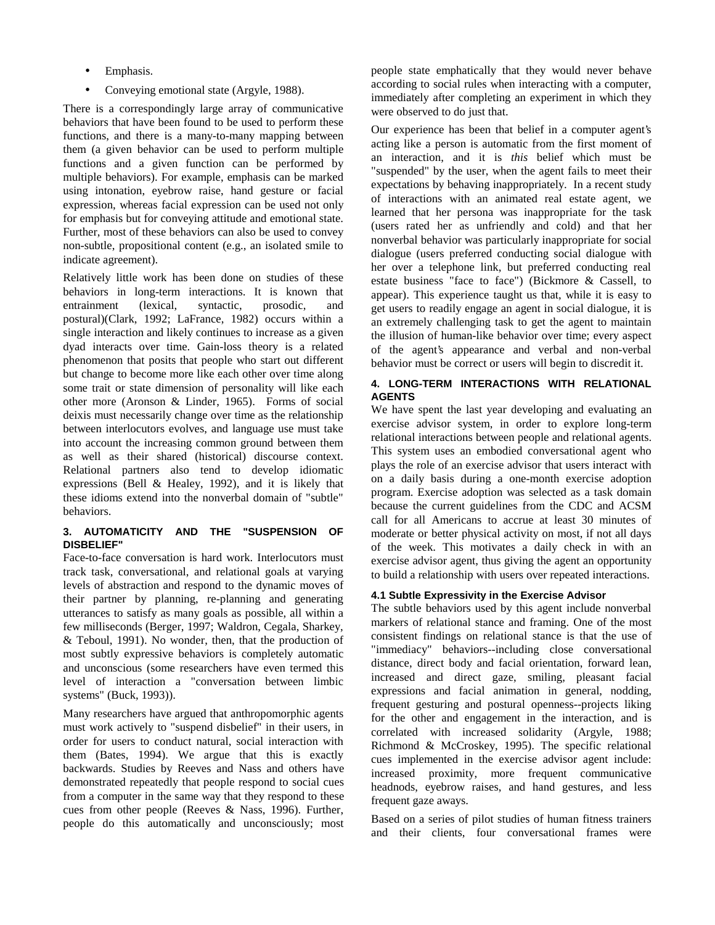- Emphasis.
- Conveying emotional state (Argyle, 1988).

There is a correspondingly large array of communicative behaviors that have been found to be used to perform these functions, and there is a many-to-many mapping between them (a given behavior can be used to perform multiple functions and a given function can be performed by multiple behaviors). For example, emphasis can be marked using intonation, eyebrow raise, hand gesture or facial expression, whereas facial expression can be used not only for emphasis but for conveying attitude and emotional state. Further, most of these behaviors can also be used to convey non-subtle, propositional content (e.g., an isolated smile to indicate agreement).

Relatively little work has been done on studies of these behaviors in long-term interactions. It is known that entrainment (lexical, syntactic, prosodic, and postural)(Clark, 1992; LaFrance, 1982) occurs within a single interaction and likely continues to increase as a given dyad interacts over time. Gain-loss theory is a related phenomenon that posits that people who start out different but change to become more like each other over time along some trait or state dimension of personality will like each other more (Aronson & Linder, 1965). Forms of social deixis must necessarily change over time as the relationship between interlocutors evolves, and language use must take into account the increasing common ground between them as well as their shared (historical) discourse context. Relational partners also tend to develop idiomatic expressions (Bell & Healey, 1992), and it is likely that these idioms extend into the nonverbal domain of "subtle" behaviors.

## **3. AUTOMATICITY AND THE "SUSPENSION OF DISBELIEF"**

Face-to-face conversation is hard work. Interlocutors must track task, conversational, and relational goals at varying levels of abstraction and respond to the dynamic moves of their partner by planning, re-planning and generating utterances to satisfy as many goals as possible, all within a few milliseconds (Berger, 1997; Waldron, Cegala, Sharkey, & Teboul, 1991). No wonder, then, that the production of most subtly expressive behaviors is completely automatic and unconscious (some researchers have even termed this level of interaction a "conversation between limbic systems" (Buck, 1993)).

Many researchers have argued that anthropomorphic agents must work actively to "suspend disbelief" in their users, in order for users to conduct natural, social interaction with them (Bates, 1994). We argue that this is exactly backwards. Studies by Reeves and Nass and others have demonstrated repeatedly that people respond to social cues from a computer in the same way that they respond to these cues from other people (Reeves & Nass, 1996). Further, people do this automatically and unconsciously; most people state emphatically that they would never behave according to social rules when interacting with a computer, immediately after completing an experiment in which they were observed to do just that.

Our experience has been that belief in a computer agent's acting like a person is automatic from the first moment of an interaction, and it is *this* belief which must be "suspended" by the user, when the agent fails to meet their expectations by behaving inappropriately. In a recent study of interactions with an animated real estate agent, we learned that her persona was inappropriate for the task (users rated her as unfriendly and cold) and that her nonverbal behavior was particularly inappropriate for social dialogue (users preferred conducting social dialogue with her over a telephone link, but preferred conducting real estate business "face to face") (Bickmore & Cassell, to appear). This experience taught us that, while it is easy to get users to readily engage an agent in social dialogue, it is an extremely challenging task to get the agent to maintain the illusion of human-like behavior over time; every aspect of the agent's appearance and verbal and non-verbal behavior must be correct or users will begin to discredit it.

## **4. LONG-TERM INTERACTIONS WITH RELATIONAL AGENTS**

We have spent the last year developing and evaluating an exercise advisor system, in order to explore long-term relational interactions between people and relational agents. This system uses an embodied conversational agent who plays the role of an exercise advisor that users interact with on a daily basis during a one-month exercise adoption program. Exercise adoption was selected as a task domain because the current guidelines from the CDC and ACSM call for all Americans to accrue at least 30 minutes of moderate or better physical activity on most, if not all days of the week. This motivates a daily check in with an exercise advisor agent, thus giving the agent an opportunity to build a relationship with users over repeated interactions.

## **4.1 Subtle Expressivity in the Exercise Advisor**

The subtle behaviors used by this agent include nonverbal markers of relational stance and framing. One of the most consistent findings on relational stance is that the use of "immediacy" behaviors--including close conversational distance, direct body and facial orientation, forward lean, increased and direct gaze, smiling, pleasant facial expressions and facial animation in general, nodding, frequent gesturing and postural openness--projects liking for the other and engagement in the interaction, and is correlated with increased solidarity (Argyle, 1988; Richmond & McCroskey, 1995). The specific relational cues implemented in the exercise advisor agent include: increased proximity, more frequent communicative headnods, eyebrow raises, and hand gestures, and less frequent gaze aways.

Based on a series of pilot studies of human fitness trainers and their clients, four conversational frames were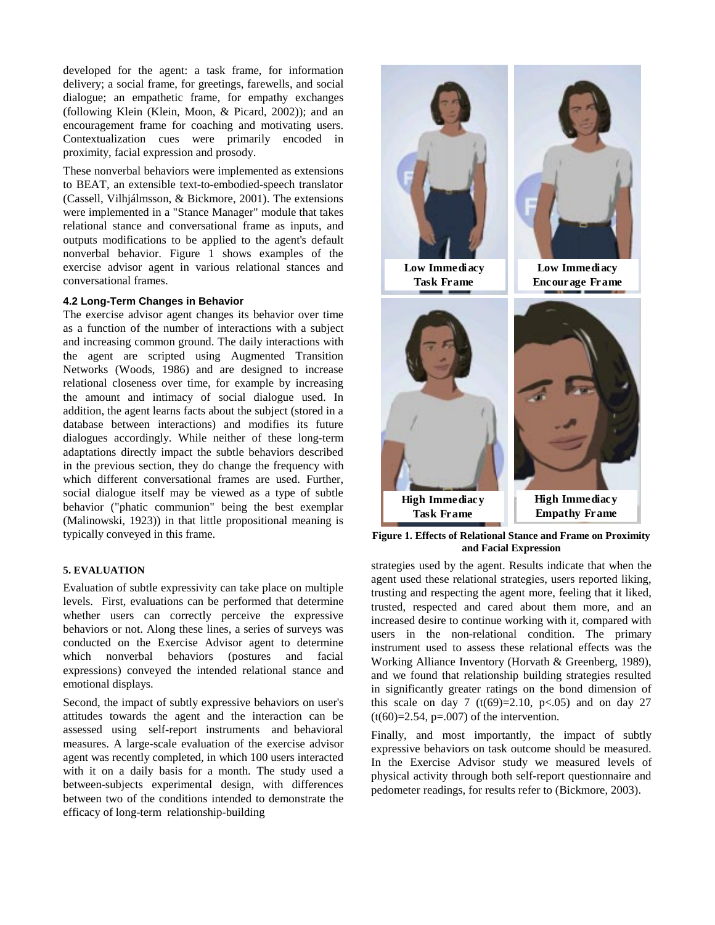developed for the agent: a task frame, for information delivery; a social frame, for greetings, farewells, and social dialogue; an empathetic frame, for empathy exchanges (following Klein (Klein, Moon, & Picard, 2002)); and an encouragement frame for coaching and motivating users. Contextualization cues were primarily encoded in proximity, facial expression and prosody.

These nonverbal behaviors were implemented as extensions to BEAT, an extensible text-to-embodied-speech translator (Cassell, Vilhjálmsson, & Bickmore, 2001). The extensions were implemented in a "Stance Manager" module that takes relational stance and conversational frame as inputs, and outputs modifications to be applied to the agent's default nonverbal behavior. Figure 1 shows examples of the exercise advisor agent in various relational stances and conversational frames.

## **4.2 Long-Term Changes in Behavior**

The exercise advisor agent changes its behavior over time as a function of the number of interactions with a subject and increasing common ground. The daily interactions with the agent are scripted using Augmented Transition Networks (Woods, 1986) and are designed to increase relational closeness over time, for example by increasing the amount and intimacy of social dialogue used. In addition, the agent learns facts about the subject (stored in a database between interactions) and modifies its future dialogues accordingly. While neither of these long-term adaptations directly impact the subtle behaviors described in the previous section, they do change the frequency with which different conversational frames are used. Further, social dialogue itself may be viewed as a type of subtle behavior ("phatic communion" being the best exemplar (Malinowski, 1923)) in that little propositional meaning is typically conveyed in this frame.

#### **5. EVALUATION**

Evaluation of subtle expressivity can take place on multiple levels. First, evaluations can be performed that determine whether users can correctly perceive the expressive behaviors or not. Along these lines, a series of surveys was conducted on the Exercise Advisor agent to determine which nonverbal behaviors (postures and facial expressions) conveyed the intended relational stance and emotional displays.

Second, the impact of subtly expressive behaviors on user's attitudes towards the agent and the interaction can be assessed using self-report instruments and behavioral measures. A large-scale evaluation of the exercise advisor agent was recently completed, in which 100 users interacted with it on a daily basis for a month. The study used a between-subjects experimental design, with differences between two of the conditions intended to demonstrate the efficacy of long-term relationship-building



**Figure 1. Effects of Relational Stance and Frame on Proximity and Facial Expression**

strategies used by the agent. Results indicate that when the agent used these relational strategies, users reported liking, trusting and respecting the agent more, feeling that it liked, trusted, respected and cared about them more, and an increased desire to continue working with it, compared with users in the non-relational condition. The primary instrument used to assess these relational effects was the Working Alliance Inventory (Horvath & Greenberg, 1989), and we found that relationship building strategies resulted in significantly greater ratings on the bond dimension of this scale on day 7 (t(69)=2.10, p<.05) and on day 27  $(t(60)=2.54, p=.007)$  of the intervention.

Finally, and most importantly, the impact of subtly expressive behaviors on task outcome should be measured. In the Exercise Advisor study we measured levels of physical activity through both self-report questionnaire and pedometer readings, for results refer to (Bickmore, 2003).